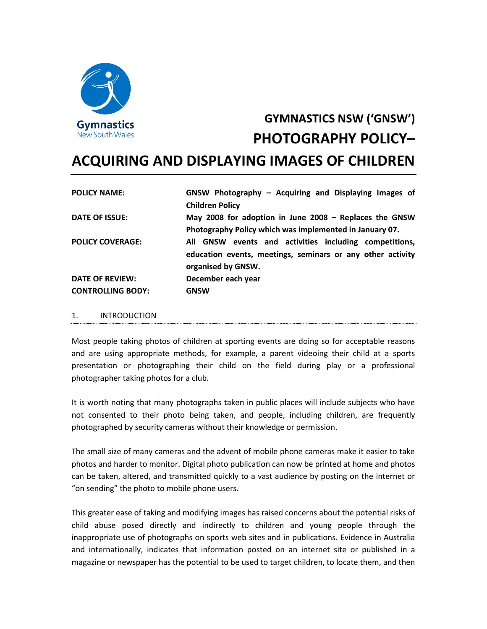

# **GYMNASTICS NSW ('GNSW') PHOTOGRAPHY POLICY–**

# **ACQUIRING AND DISPLAYING IMAGES OF CHILDREN**

| <b>POLICY NAME:</b>      | GNSW Photography - Acquiring and Displaying Images of<br><b>Children Policy</b>                                                            |
|--------------------------|--------------------------------------------------------------------------------------------------------------------------------------------|
| DATE OF ISSUE:           | May 2008 for adoption in June 2008 - Replaces the GNSW<br>Photography Policy which was implemented in January 07.                          |
| <b>POLICY COVERAGE:</b>  | All GNSW events and activities including competitions,<br>education events, meetings, seminars or any other activity<br>organised by GNSW. |
| DATE OF REVIEW:          | December each year                                                                                                                         |
| <b>CONTROLLING BODY:</b> | <b>GNSW</b>                                                                                                                                |

#### 1. INTRODUCTION

Most people taking photos of children at sporting events are doing so for acceptable reasons and are using appropriate methods, for example, a parent videoing their child at a sports presentation or photographing their child on the field during play or a professional photographer taking photos for a club.

It is worth noting that many photographs taken in public places will include subjects who have not consented to their photo being taken, and people, including children, are frequently photographed by security cameras without their knowledge or permission.

The small size of many cameras and the advent of mobile phone cameras make it easier to take photos and harder to monitor. Digital photo publication can now be printed at home and photos can be taken, altered, and transmitted quickly to a vast audience by posting on the internet or "on sending" the photo to mobile phone users.

This greater ease of taking and modifying images has raised concerns about the potential risks of child abuse posed directly and indirectly to children and young people through the inappropriate use of photographs on sports web sites and in publications. Evidence in Australia and internationally, indicates that information posted on an internet site or published in a magazine or newspaper has the potential to be used to target children, to locate them, and then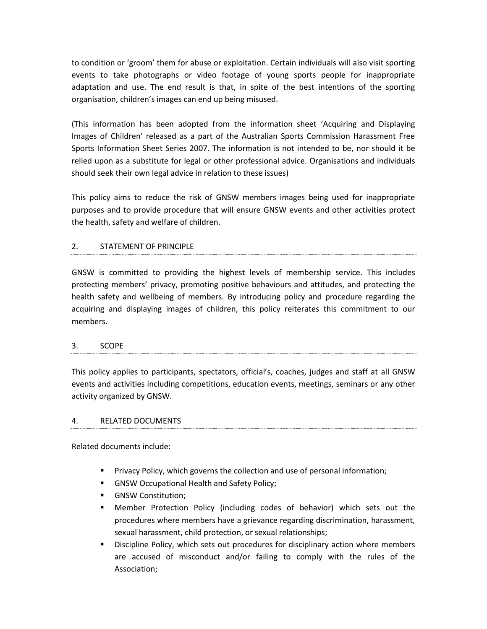to condition or 'groom' them for abuse or exploitation. Certain individuals will also visit sporting events to take photographs or video footage of young sports people for inappropriate adaptation and use. The end result is that, in spite of the best intentions of the sporting organisation, children's images can end up being misused.

(This information has been adopted from the information sheet 'Acquiring and Displaying Images of Children' released as a part of the Australian Sports Commission Harassment Free Sports Information Sheet Series 2007. The information is not intended to be, nor should it be relied upon as a substitute for legal or other professional advice. Organisations and individuals should seek their own legal advice in relation to these issues)

This policy aims to reduce the risk of GNSW members images being used for inappropriate purposes and to provide procedure that will ensure GNSW events and other activities protect the health, safety and welfare of children.

#### 2. STATEMENT OF PRINCIPLE

GNSW is committed to providing the highest levels of membership service. This includes protecting members' privacy, promoting positive behaviours and attitudes, and protecting the health safety and wellbeing of members. By introducing policy and procedure regarding the acquiring and displaying images of children, this policy reiterates this commitment to our members.

# 3. SCOPE

This policy applies to participants, spectators, official's, coaches, judges and staff at all GNSW events and activities including competitions, education events, meetings, seminars or any other activity organized by GNSW.

#### 4. RELATED DOCUMENTS

Related documents include:

- **•** Privacy Policy, which governs the collection and use of personal information;
- **E** GNSW Occupational Health and Safety Policy;
- **GNSW Constitution;**
- Member Protection Policy (including codes of behavior) which sets out the procedures where members have a grievance regarding discrimination, harassment, sexual harassment, child protection, or sexual relationships;
- Discipline Policy, which sets out procedures for disciplinary action where members are accused of misconduct and/or failing to comply with the rules of the Association;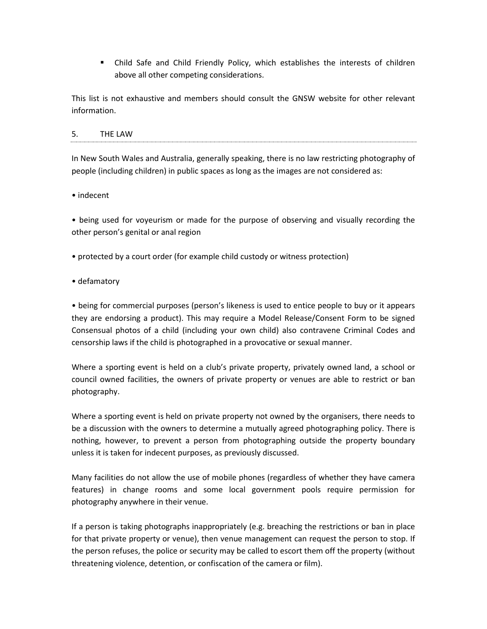■ Child Safe and Child Friendly Policy, which establishes the interests of children above all other competing considerations.

This list is not exhaustive and members should consult the GNSW website for other relevant information.

# 5. THE LAW

In New South Wales and Australia, generally speaking, there is no law restricting photography of people (including children) in public spaces as long as the images are not considered as:

• indecent

• being used for voyeurism or made for the purpose of observing and visually recording the other person's genital or anal region

• protected by a court order (for example child custody or witness protection)

• defamatory

• being for commercial purposes (person's likeness is used to entice people to buy or it appears they are endorsing a product). This may require a Model Release/Consent Form to be signed Consensual photos of a child (including your own child) also contravene Criminal Codes and censorship laws if the child is photographed in a provocative or sexual manner.

Where a sporting event is held on a club's private property, privately owned land, a school or council owned facilities, the owners of private property or venues are able to restrict or ban photography.

Where a sporting event is held on private property not owned by the organisers, there needs to be a discussion with the owners to determine a mutually agreed photographing policy. There is nothing, however, to prevent a person from photographing outside the property boundary unless it is taken for indecent purposes, as previously discussed.

Many facilities do not allow the use of mobile phones (regardless of whether they have camera features) in change rooms and some local government pools require permission for photography anywhere in their venue.

If a person is taking photographs inappropriately (e.g. breaching the restrictions or ban in place for that private property or venue), then venue management can request the person to stop. If the person refuses, the police or security may be called to escort them off the property (without threatening violence, detention, or confiscation of the camera or film).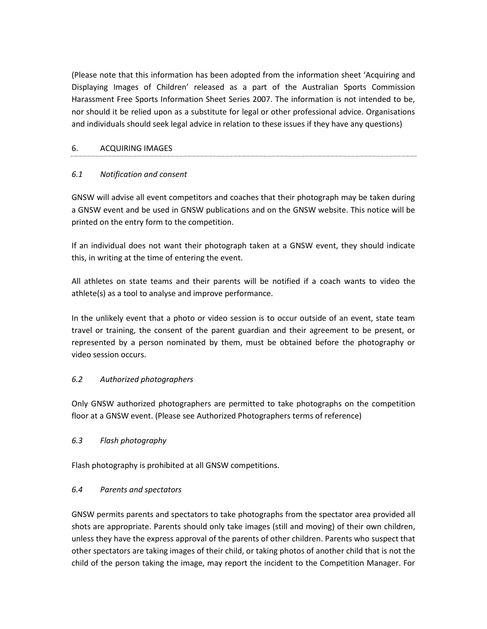(Please note that this information has been adopted from the information sheet 'Acquiring and Displaying Images of Children' released as a part of the Australian Sports Commission Harassment Free Sports Information Sheet Series 2007. The information is not intended to be, nor should it be relied upon as a substitute for legal or other professional advice. Organisations and individuals should seek legal advice in relation to these issues if they have any questions)

#### 6. ACQUIRING IMAGES

#### *6.1 Notification and consent*

GNSW will advise all event competitors and coaches that their photograph may be taken during a GNSW event and be used in GNSW publications and on the GNSW website. This notice will be printed on the entry form to the competition.

If an individual does not want their photograph taken at a GNSW event, they should indicate this, in writing at the time of entering the event.

All athletes on state teams and their parents will be notified if a coach wants to video the athlete(s) as a tool to analyse and improve performance.

In the unlikely event that a photo or video session is to occur outside of an event, state team travel or training, the consent of the parent guardian and their agreement to be present, or represented by a person nominated by them, must be obtained before the photography or video session occurs.

#### *6.2 Authorized photographers*

Only GNSW authorized photographers are permitted to take photographs on the competition floor at a GNSW event. (Please see Authorized Photographers terms of reference)

#### *6.3 Flash photography*

Flash photography is prohibited at all GNSW competitions.

#### *6.4 Parents and spectators*

GNSW permits parents and spectators to take photographs from the spectator area provided all shots are appropriate. Parents should only take images (still and moving) of their own children, unless they have the express approval of the parents of other children. Parents who suspect that other spectators are taking images of their child, or taking photos of another child that is not the child of the person taking the image, may report the incident to the Competition Manager. For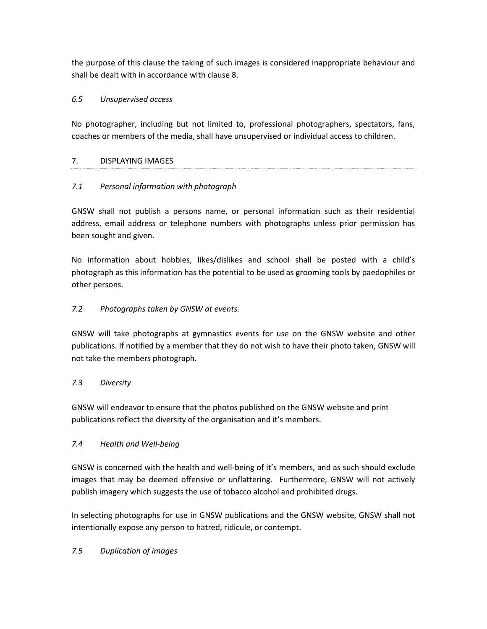the purpose of this clause the taking of such images is considered inappropriate behaviour and shall be dealt with in accordance with clause 8.

# *6.5 Unsupervised access*

No photographer, including but not limited to, professional photographers, spectators, fans, coaches or members of the media, shall have unsupervised or individual access to children.

# 7. DISPLAYING IMAGES

# *7.1 Personal information with photograph*

GNSW shall not publish a persons name, or personal information such as their residential address, email address or telephone numbers with photographs unless prior permission has been sought and given.

No information about hobbies, likes/dislikes and school shall be posted with a child's photograph as this information has the potential to be used as grooming tools by paedophiles or other persons.

# *7.2 Photographs taken by GNSW at events.*

GNSW will take photographs at gymnastics events for use on the GNSW website and other publications. If notified by a member that they do not wish to have their photo taken, GNSW will not take the members photograph.

#### *7.3 Diversity*

GNSW will endeavor to ensure that the photos published on the GNSW website and print publications reflect the diversity of the organisation and it's members.

#### *7.4 Health and Well-being*

GNSW is concerned with the health and well-being of it's members, and as such should exclude images that may be deemed offensive or unflattering. Furthermore, GNSW will not actively publish imagery which suggests the use of tobacco alcohol and prohibited drugs.

In selecting photographs for use in GNSW publications and the GNSW website, GNSW shall not intentionally expose any person to hatred, ridicule, or contempt.

#### *7.5 Duplication of images*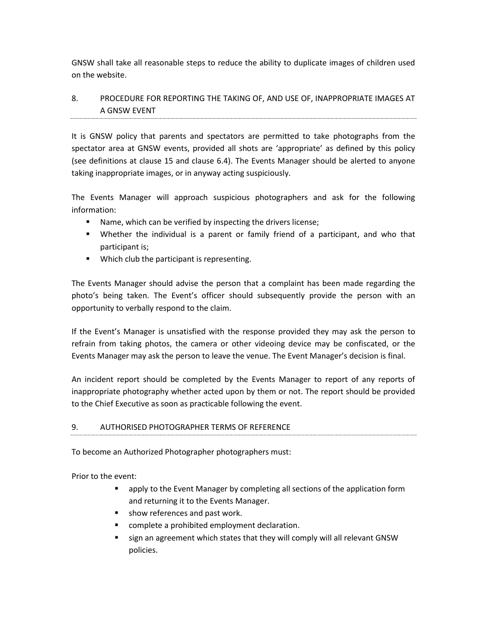GNSW shall take all reasonable steps to reduce the ability to duplicate images of children used on the website.

# 8. PROCEDURE FOR REPORTING THE TAKING OF, AND USE OF, INAPPROPRIATE IMAGES AT A GNSW EVENT

It is GNSW policy that parents and spectators are permitted to take photographs from the spectator area at GNSW events, provided all shots are 'appropriate' as defined by this policy (see definitions at clause 15 and clause 6.4). The Events Manager should be alerted to anyone taking inappropriate images, or in anyway acting suspiciously.

The Events Manager will approach suspicious photographers and ask for the following information:

- Name, which can be verified by inspecting the drivers license;
- Whether the individual is a parent or family friend of a participant, and who that participant is;
- Which club the participant is representing.

The Events Manager should advise the person that a complaint has been made regarding the photo's being taken. The Event's officer should subsequently provide the person with an opportunity to verbally respond to the claim.

If the Event's Manager is unsatisfied with the response provided they may ask the person to refrain from taking photos, the camera or other videoing device may be confiscated, or the Events Manager may ask the person to leave the venue. The Event Manager's decision is final.

An incident report should be completed by the Events Manager to report of any reports of inappropriate photography whether acted upon by them or not. The report should be provided to the Chief Executive as soon as practicable following the event.

#### 9. AUTHORISED PHOTOGRAPHER TERMS OF REFERENCE

To become an Authorized Photographer photographers must:

Prior to the event:

- apply to the Event Manager by completing all sections of the application form and returning it to the Events Manager.
- show references and past work.
- complete a prohibited employment declaration.
- sign an agreement which states that they will comply will all relevant GNSW policies.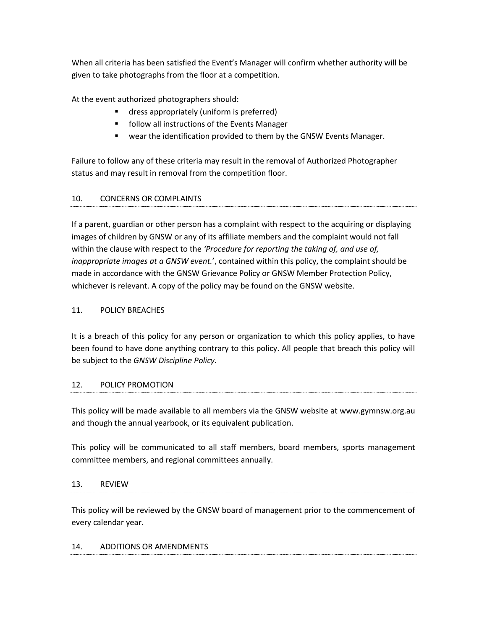When all criteria has been satisfied the Event's Manager will confirm whether authority will be given to take photographs from the floor at a competition.

At the event authorized photographers should:

- dress appropriately (uniform is preferred)
- follow all instructions of the Events Manager
- wear the identification provided to them by the GNSW Events Manager.

Failure to follow any of these criteria may result in the removal of Authorized Photographer status and may result in removal from the competition floor.

# 10. CONCERNS OR COMPLAINTS

If a parent, guardian or other person has a complaint with respect to the acquiring or displaying images of children by GNSW or any of its affiliate members and the complaint would not fall within the clause with respect to the *'Procedure for reporting the taking of, and use of, inappropriate images at a GNSW event.*', contained within this policy, the complaint should be made in accordance with the GNSW Grievance Policy or GNSW Member Protection Policy, whichever is relevant. A copy of the policy may be found on the GNSW website.

#### 11. POLICY BREACHES

It is a breach of this policy for any person or organization to which this policy applies, to have been found to have done anything contrary to this policy. All people that breach this policy will be subject to the *GNSW Discipline Policy.*

#### 12. POLICY PROMOTION

This policy will be made available to all members via the GNSW website at [www.gymnsw.org.au](http://www.gymnsw.org.au/) and though the annual yearbook, or its equivalent publication.

This policy will be communicated to all staff members, board members, sports management committee members, and regional committees annually.

#### 13. REVIEW

This policy will be reviewed by the GNSW board of management prior to the commencement of every calendar year.

#### 14. ADDITIONS OR AMENDMENTS